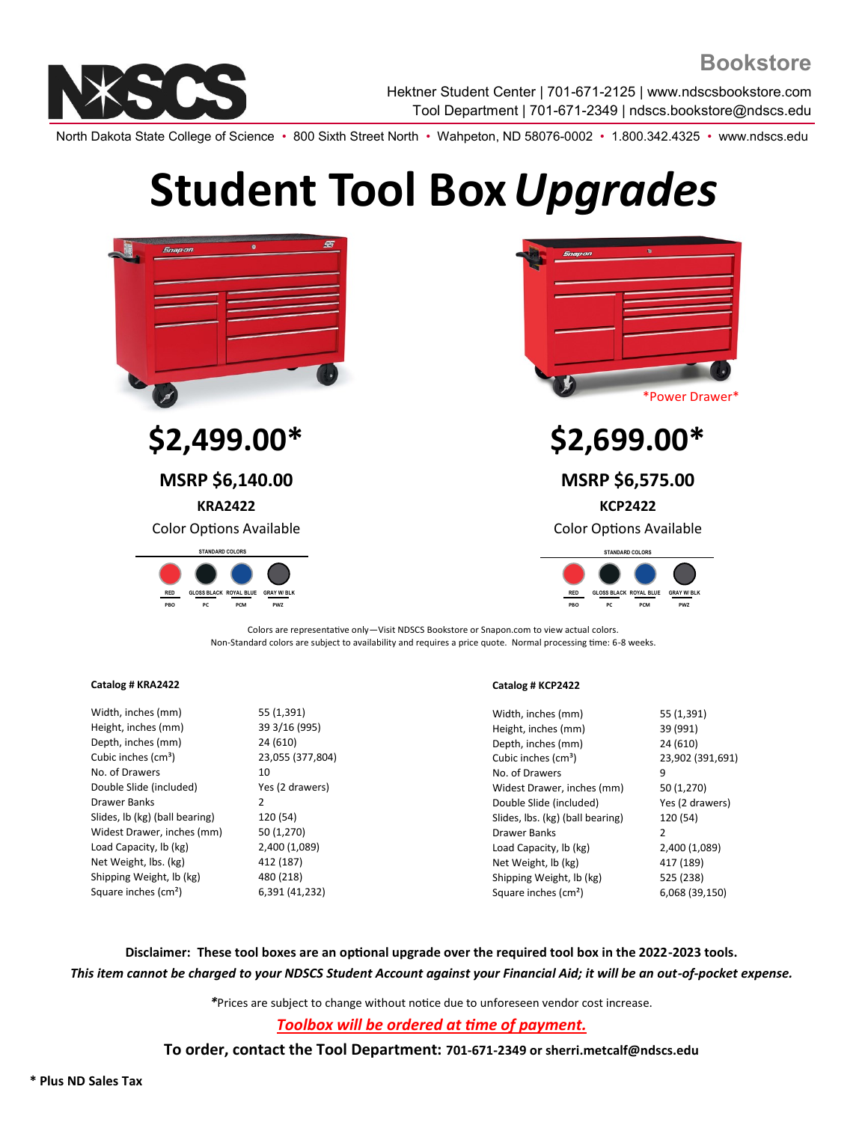

Hektner Student Center | 701-671-2125 | www.ndscsbookstore.com Tool Department | 701-671-2349 | ndscs.bookstore@ndscs.edu

North Dakota State College of Science • 800 Sixth Street North • Wahpeton, ND 58076-0002 • 1.800.342.4325 • www.ndscs.edu

# **Student Tool Box***Upgrades*



Colors are representative only—Visit NDSCS Bookstore or Snapon.com to view actual colors. Non-Standard colors are subject to availability and requires a price quote. Normal processing time: 6-8 weeks.

## **Catalog # KRA2422**

Width, inches (mm) 55 (1,391) Height, inches (mm) 39 3/16 (995) Depth, inches (mm) 24 (610) Cubic inches (cm<sup>3</sup>) 23,055 (377,804) No. of Drawers 10 Double Slide (included) Yes (2 drawers) Drawer Banks 2 Slides, lb (kg) (ball bearing) 120 (54) Widest Drawer, inches (mm) 50 (1,270) Load Capacity, lb (kg) 2,400 (1,089) Net Weight, lbs. (kg) 412 (187) Shipping Weight, lb (kg) 480 (218) Square inches (cm²) 6,391 (41,232)

#### **Catalog # KCP2422**

| Width, inches (mm)               | 55 (1,391)       |
|----------------------------------|------------------|
| Height, inches (mm)              | 39 (991)         |
| Depth, inches (mm)               | 24 (610)         |
| Cubic inches (cm <sup>3</sup> )  | 23,902 (391,691) |
| No. of Drawers                   | 9                |
| Widest Drawer, inches (mm)       | 50 (1,270)       |
| Double Slide (included)          | Yes (2 drawers)  |
| Slides, Ibs. (kg) (ball bearing) | 120 (54)         |
| Drawer Banks                     | 2                |
| Load Capacity, lb (kg)           | 2,400 (1,089)    |
| Net Weight, lb (kg)              | 417 (189)        |
| Shipping Weight, lb (kg)         | 525 (238)        |
| Square inches (cm <sup>2</sup> ) | 6,068 (39,150)   |
|                                  |                  |

**Disclaimer: These tool boxes are an optional upgrade over the required tool box in the 2022-2023 tools.** *This item cannot be charged to your NDSCS Student Account against your Financial Aid; it will be an out-of-pocket expense.*

*\**Prices are subject to change without notice due to unforeseen vendor cost increase.

*Toolbox will be ordered at time of payment.*

**To order, contact the Tool Department: 701-671-2349 or sherri.metcalf@ndscs.edu**